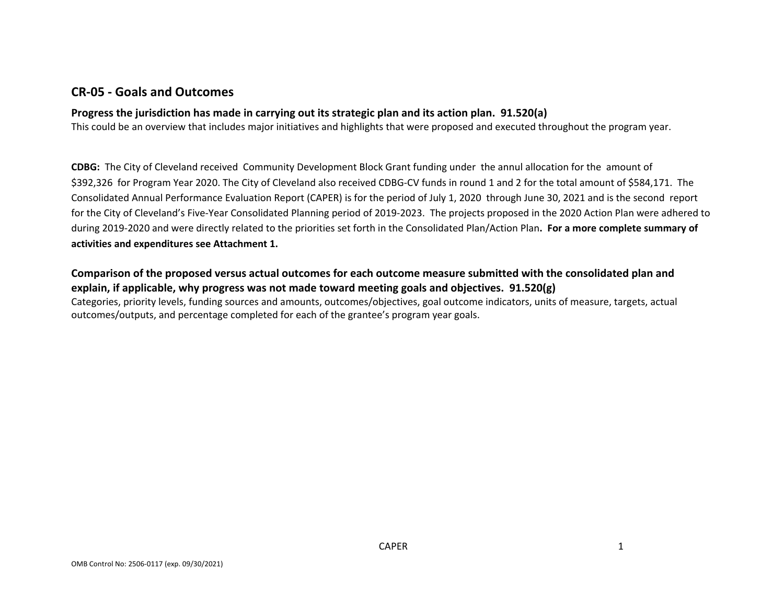## **CR‐05 ‐ Goals and Outcomes**

### **Progress the jurisdiction has made in carrying out its strategic plan and its action plan. 91.520(a)**

This could be an overview that includes major initiatives and highlights that were proposed and executed throughout the program year.

**CDBG:** The City of Cleveland received Community Development Block Grant funding under the annul allocation for the amount of \$392,326 for Program Year 2020. The City of Cleveland also received CDBG‐CV funds in round <sup>1</sup> and <sup>2</sup> for the total amount of \$584,171. The Consolidated Annual Performance Evaluation Report (CAPER) is for the period of July 1, 2020 through June 30, 2021 and is the second report for the City of Cleveland's Five‐Year Consolidated Planning period of 2019‐2023. The projects proposed in the 2020 Action Plan were adhered to during 2019‐2020 and were directly related to the priorities set forth in the Consolidated Plan/Action Plan**. For <sup>a</sup> more complete summary of activities and expenditures see Attachment 1.**

### Comparison of the proposed versus actual outcomes for each outcome measure submitted with the consolidated plan and **explain, if applicable, why progress was not made toward meeting goals and objectives. 91.520(g)**

Categories, priority levels, funding sources and amounts, outcomes/objectives, goal outcome indicators, units of measure, targets, actual outcomes/outputs, and percentage completed for each of the grantee's program year goals.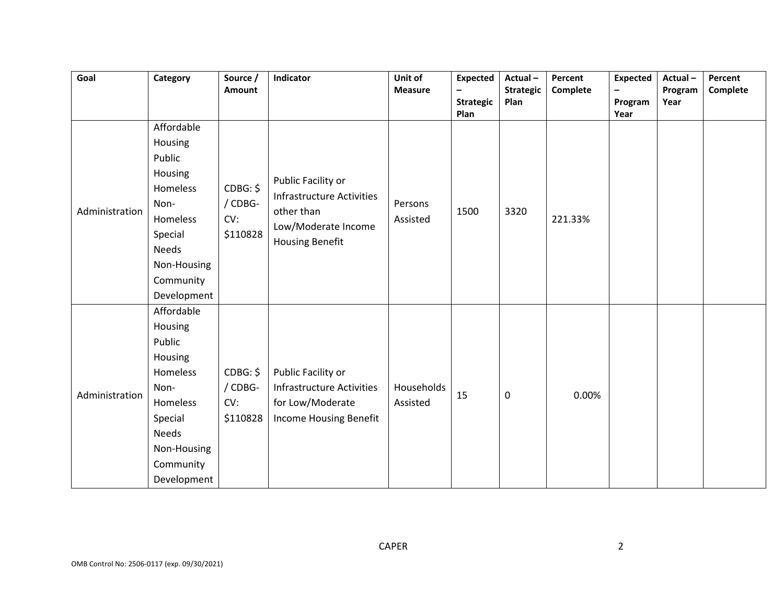| Goal           | Category                                                                                                                                         | Source /<br>Amount                     | Indicator                                                                                                             | Unit of<br><b>Measure</b> | <b>Expected</b><br>$\equiv$<br><b>Strategic</b> | Actual-<br><b>Strategic</b><br>Plan | Percent<br>Complete | <b>Expected</b><br>$\overline{\phantom{a}}$<br>Program | Actual-<br>Program<br>Year | Percent<br>Complete |
|----------------|--------------------------------------------------------------------------------------------------------------------------------------------------|----------------------------------------|-----------------------------------------------------------------------------------------------------------------------|---------------------------|-------------------------------------------------|-------------------------------------|---------------------|--------------------------------------------------------|----------------------------|---------------------|
| Administration | Affordable<br>Housing<br>Public<br>Housing<br>Homeless<br>Non-<br>Homeless<br>Special<br><b>Needs</b><br>Non-Housing<br>Community<br>Development | CDBG: \$<br>/ CDBG-<br>CV:<br>\$110828 | Public Facility or<br><b>Infrastructure Activities</b><br>other than<br>Low/Moderate Income<br><b>Housing Benefit</b> | Persons<br>Assisted       | Plan<br>1500                                    | 3320                                | 221.33%             | Year                                                   |                            |                     |
| Administration | Affordable<br>Housing<br>Public<br>Housing<br>Homeless<br>Non-<br>Homeless<br>Special<br><b>Needs</b><br>Non-Housing<br>Community<br>Development | CDBG: \$<br>/ CDBG-<br>CV:<br>\$110828 | Public Facility or<br><b>Infrastructure Activities</b><br>for Low/Moderate<br>Income Housing Benefit                  | Households<br>Assisted    | 15                                              | $\mathbf 0$                         | 0.00%               |                                                        |                            |                     |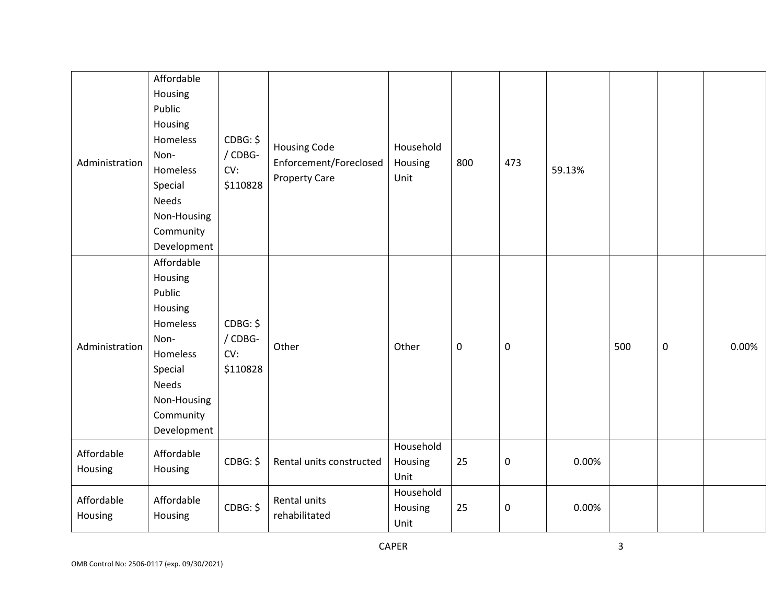| Administration        | Affordable<br>Housing<br>Public<br>Housing<br>Homeless<br>Non-<br>Homeless<br>Special<br><b>Needs</b>                                     | CDBG: \$<br>/ CDBG-<br>CV:<br>\$110828 | <b>Housing Code</b><br>Enforcement/Foreclosed<br><b>Property Care</b> | Household<br>Housing<br>Unit | 800       | 473       | 59.13% |     |                  |       |
|-----------------------|-------------------------------------------------------------------------------------------------------------------------------------------|----------------------------------------|-----------------------------------------------------------------------|------------------------------|-----------|-----------|--------|-----|------------------|-------|
|                       | Non-Housing<br>Community<br>Development                                                                                                   |                                        |                                                                       |                              |           |           |        |     |                  |       |
| Administration        | Affordable<br>Housing<br>Public<br>Housing<br>Homeless<br>Non-<br>Homeless<br>Special<br>Needs<br>Non-Housing<br>Community<br>Development | CDBG: \$<br>/ CDBG-<br>CV:<br>\$110828 | Other                                                                 | Other                        | $\pmb{0}$ | $\pmb{0}$ |        | 500 | $\boldsymbol{0}$ | 0.00% |
| Affordable<br>Housing | Affordable<br>Housing                                                                                                                     | CDBG: \$                               | Rental units constructed                                              | Household<br>Housing<br>Unit | 25        | 0         | 0.00%  |     |                  |       |
| Affordable<br>Housing | Affordable<br>Housing                                                                                                                     | CDBG: \$                               | Rental units<br>rehabilitated                                         | Household<br>Housing<br>Unit | 25        | $\pmb{0}$ | 0.00%  |     |                  |       |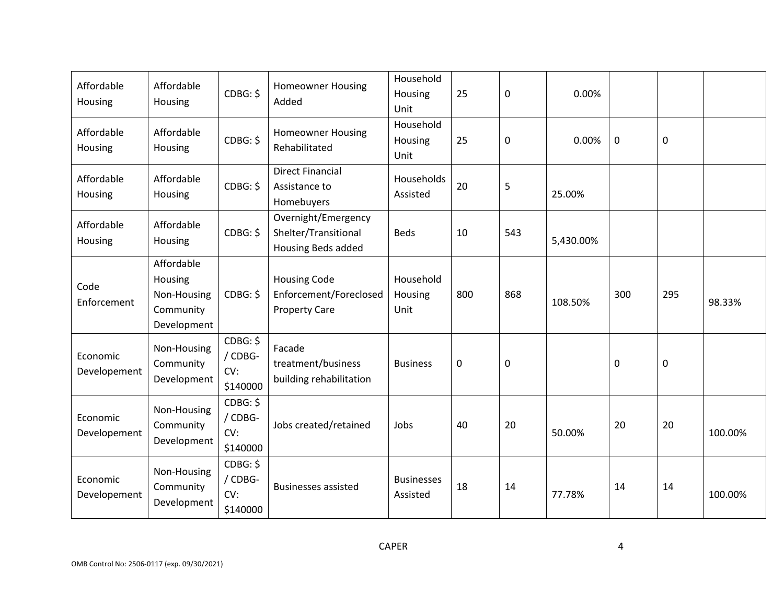| Affordable<br>Housing    | Affordable<br>Housing                                            | CDBG: \$                               | <b>Homeowner Housing</b><br>Added                                     | Household<br>Housing<br>Unit  | 25          | 0           | 0.00%     |             |     |         |
|--------------------------|------------------------------------------------------------------|----------------------------------------|-----------------------------------------------------------------------|-------------------------------|-------------|-------------|-----------|-------------|-----|---------|
| Affordable<br>Housing    | Affordable<br>Housing                                            | CDBG: \$                               | <b>Homeowner Housing</b><br>Rehabilitated                             | Household<br>Housing<br>Unit  | 25          | $\mathbf 0$ | 0.00%     | $\mathbf 0$ | 0   |         |
| Affordable<br>Housing    | Affordable<br>Housing                                            | CDBG: \$                               | <b>Direct Financial</b><br>Assistance to<br>Homebuyers                | Households<br>Assisted        | 20          | 5           | 25.00%    |             |     |         |
| Affordable<br>Housing    | Affordable<br>Housing                                            | CDBG: \$                               | Overnight/Emergency<br>Shelter/Transitional<br>Housing Beds added     | <b>Beds</b>                   | 10          | 543         | 5,430.00% |             |     |         |
| Code<br>Enforcement      | Affordable<br>Housing<br>Non-Housing<br>Community<br>Development | CDBG: \$                               | <b>Housing Code</b><br>Enforcement/Foreclosed<br><b>Property Care</b> | Household<br>Housing<br>Unit  | 800         | 868         | 108.50%   | 300         | 295 | 98.33%  |
| Economic<br>Developement | Non-Housing<br>Community<br>Development                          | CDBG: \$<br>/ CDBG-<br>CV:<br>\$140000 | Facade<br>treatment/business<br>building rehabilitation               | <b>Business</b>               | $\mathbf 0$ | $\mathbf 0$ |           | $\mathbf 0$ | 0   |         |
| Economic<br>Developement | Non-Housing<br>Community<br>Development                          | CDBG: \$<br>/ CDBG-<br>CV:<br>\$140000 | Jobs created/retained                                                 | Jobs                          | 40          | 20          | 50.00%    | 20          | 20  | 100.00% |
| Economic<br>Developement | Non-Housing<br>Community<br>Development                          | CDBG: \$<br>/ CDBG-<br>CV:<br>\$140000 | <b>Businesses assisted</b>                                            | <b>Businesses</b><br>Assisted | 18          | 14          | 77.78%    | 14          | 14  | 100.00% |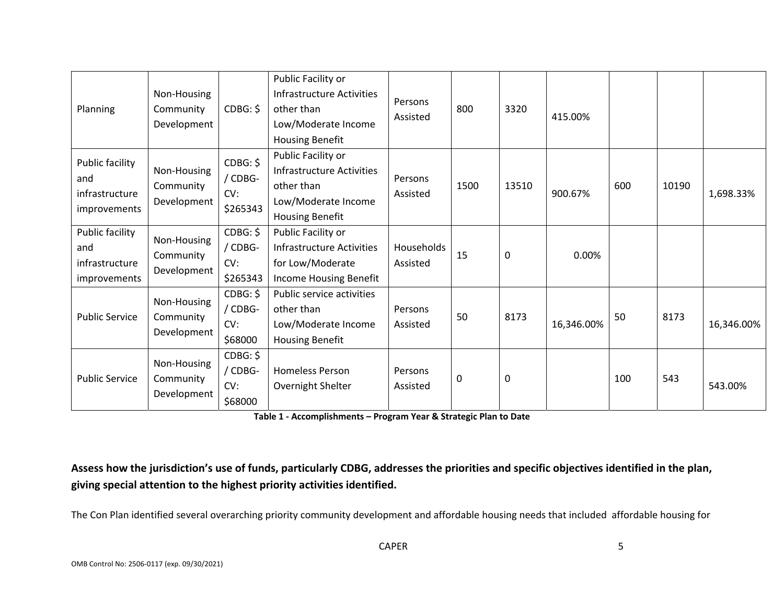| Planning                                                 | Non-Housing<br>Community<br>Development | CDBG: \$                               | Public Facility or<br><b>Infrastructure Activities</b><br>other than<br>Low/Moderate Income<br><b>Housing Benefit</b> | Persons<br>Assisted    | 800  | 3320         | 415.00%    |     |       |            |
|----------------------------------------------------------|-----------------------------------------|----------------------------------------|-----------------------------------------------------------------------------------------------------------------------|------------------------|------|--------------|------------|-----|-------|------------|
| Public facility<br>and<br>infrastructure<br>improvements | Non-Housing<br>Community<br>Development | CDBG: \$<br>/ CDBG-<br>CV:<br>\$265343 | Public Facility or<br><b>Infrastructure Activities</b><br>other than<br>Low/Moderate Income<br><b>Housing Benefit</b> | Persons<br>Assisted    | 1500 | 13510        | 900.67%    | 600 | 10190 | 1,698.33%  |
| Public facility<br>and<br>infrastructure<br>improvements | Non-Housing<br>Community<br>Development | CDBG: \$<br>/ CDBG-<br>CV:<br>\$265343 | Public Facility or<br><b>Infrastructure Activities</b><br>for Low/Moderate<br>Income Housing Benefit                  | Households<br>Assisted | 15   | $\mathbf{0}$ | 0.00%      |     |       |            |
| <b>Public Service</b>                                    | Non-Housing<br>Community<br>Development | CDBG: \$<br>/ CDBG-<br>CV:<br>\$68000  | Public service activities<br>other than<br>Low/Moderate Income<br><b>Housing Benefit</b>                              | Persons<br>Assisted    | 50   | 8173         | 16,346.00% | 50  | 8173  | 16,346.00% |
| <b>Public Service</b>                                    | Non-Housing<br>Community<br>Development | CDBG: \$<br>/ CDBG-<br>CV:<br>\$68000  | <b>Homeless Person</b><br>Overnight Shelter                                                                           | Persons<br>Assisted    | 0    | 0            |            | 100 | 543   | 543.00%    |

**Table 1 ‐ Accomplishments – Program Year & Strategic Plan to Date**

Assess how the jurisdiction's use of funds, particularly CDBG, addresses the priorities and specific objectives identified in the plan, **giving special attention to the highest priority activities identified.**

The Con Plan identified several overarching priority community development and affordable housing needs that included affordable housing for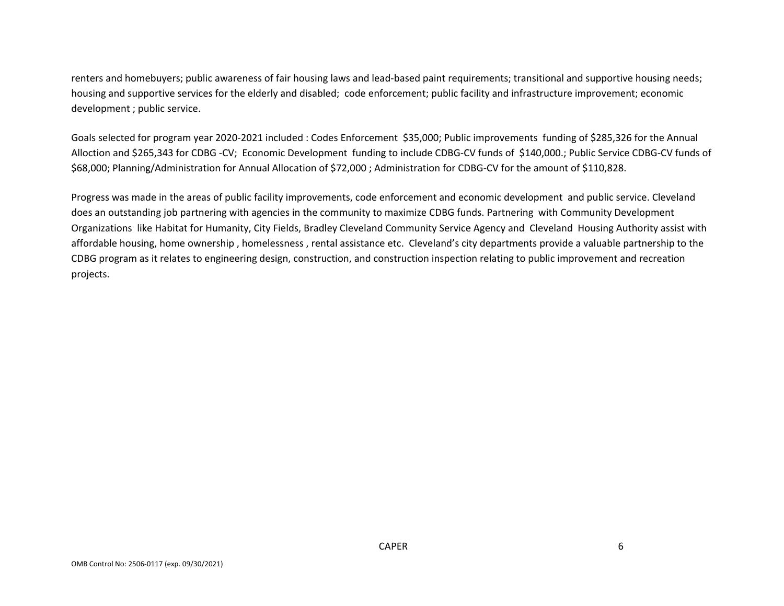renters and homebuyers; public awareness of fair housing laws and lead‐based paint requirements; transitional and supportive housing needs; housing and supportive services for the elderly and disabled; code enforcement; public facility and infrastructure improvement; economic development ; public service.

Goals selected for program year 2020‐2021 included : Codes Enforcement \$35,000; Public improvements funding of \$285,326 for the Annual Alloction and \$265,343 for CDBG ‐CV; Economic Development funding to include CDBG‐CV funds of \$140,000.; Public Service CDBG‐CV funds of \$68,000; Planning/Administration for Annual Allocation of \$72,000 ; Administration for CDBG‐CV for the amount of \$110,828.

Progress was made in the areas of public facility improvements, code enforcement and economic development and public service. Cleveland does an outstanding job partnering with agencies in the community to maximize CDBG funds. Partnering with Community Development Organizations like Habitat for Humanity, City Fields, Bradley Cleveland Community Service Agency and Cleveland Housing Authority assist with affordable housing, home ownership , homelessness , rental assistance etc. Cleveland's city departments provide <sup>a</sup> valuable partnership to the CDBG program as it relates to engineering design, construction, and construction inspection relating to public improvement and recreation projects.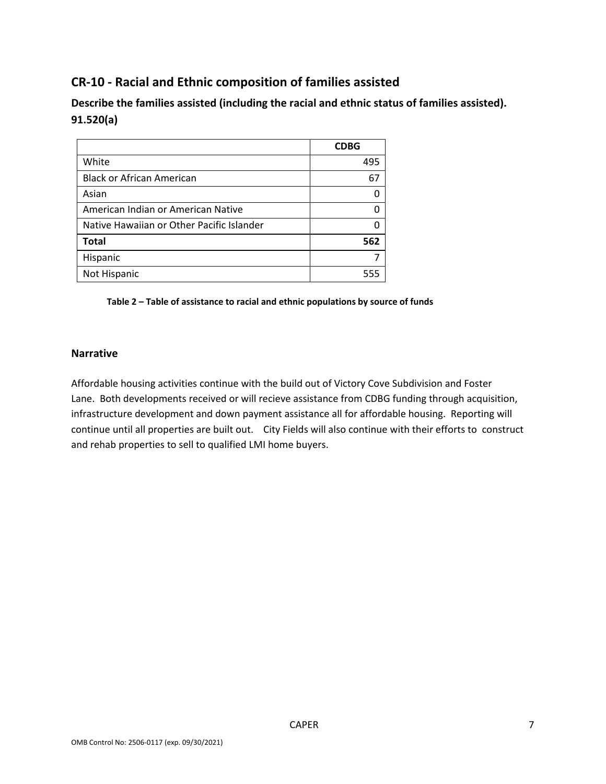# **CR‐10 ‐ Racial and Ethnic composition of families assisted**

**Describe the families assisted (including the racial and ethnic status of families assisted). 91.520(a)** 

|                                           | <b>CDBG</b> |
|-------------------------------------------|-------------|
| White                                     | 495         |
| <b>Black or African American</b>          | 67          |
| Asian                                     |             |
| American Indian or American Native        |             |
| Native Hawaiian or Other Pacific Islander |             |
| <b>Total</b>                              | 562         |
| Hispanic                                  |             |
| Not Hispanic                              | 555         |

**Table 2 – Table of assistance to racial and ethnic populations by source of funds** 

#### **Narrative**

Affordable housing activities continue with the build out of Victory Cove Subdivision and Foster Lane. Both developments received or will recieve assistance from CDBG funding through acquisition, infrastructure development and down payment assistance all for affordable housing. Reporting will continue until all properties are built out. City Fields will also continue with their efforts to construct and rehab properties to sell to qualified LMI home buyers.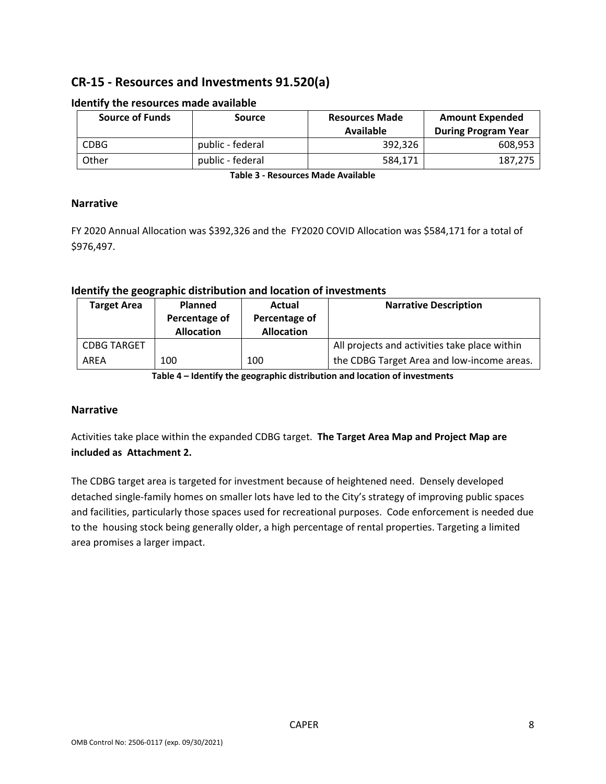# **CR‐15 ‐ Resources and Investments 91.520(a)**

| <b>Source of Funds</b> | <b>Source</b>    | <b>Resources Made</b><br>Available | <b>Amount Expended</b><br><b>During Program Year</b> |
|------------------------|------------------|------------------------------------|------------------------------------------------------|
| <b>CDBG</b>            | public - federal | 392,326                            | 608,953                                              |
| Other                  | public - federal | 584.171                            | 187.275                                              |

#### **Identify the resources made available**

**Table 3 ‐ Resources Made Available**

#### **Narrative**

FY 2020 Annual Allocation was \$392,326 and the FY2020 COVID Allocation was \$584,171 for a total of \$976,497.

### **Identify the geographic distribution and location of investments**

| <b>Target Area</b> | <b>Planned</b>    | Actual            | <b>Narrative Description</b>                  |
|--------------------|-------------------|-------------------|-----------------------------------------------|
|                    | Percentage of     | Percentage of     |                                               |
|                    | <b>Allocation</b> | <b>Allocation</b> |                                               |
| <b>CDBG TARGET</b> |                   |                   | All projects and activities take place within |
| AREA               | 100               | 100               | the CDBG Target Area and low-income areas.    |

**Table 4 – Identify the geographic distribution and location of investments**

#### **Narrative**

Activities take place within the expanded CDBG target. **The Target Area Map and Project Map are included as Attachment 2.**

The CDBG target area is targeted for investment because of heightened need. Densely developed detached single‐family homes on smaller lots have led to the City's strategy of improving public spaces and facilities, particularly those spaces used for recreational purposes. Code enforcement is needed due to the housing stock being generally older, a high percentage of rental properties. Targeting a limited area promises a larger impact.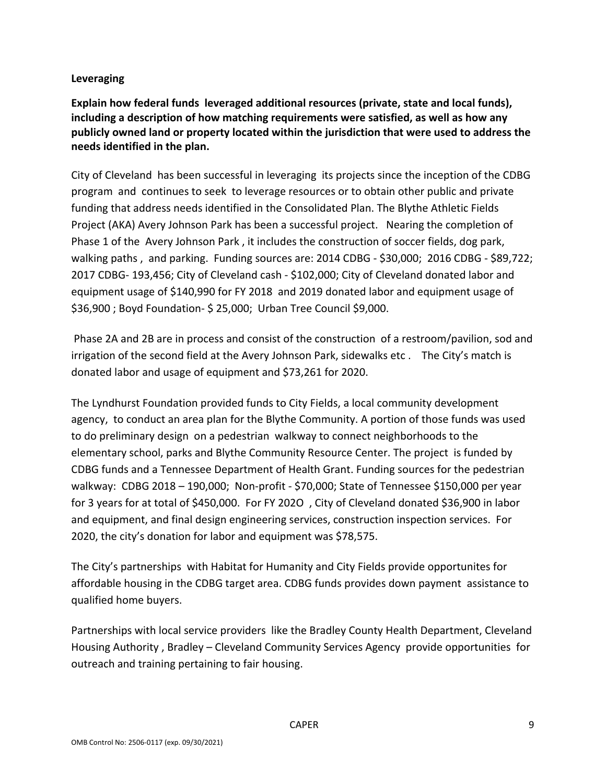### **Leveraging**

**Explain how federal funds leveraged additional resources (private, state and local funds), including a description of how matching requirements were satisfied, as well as how any publicly owned land or property located within the jurisdiction that were used to address the needs identified in the plan.**

City of Cleveland has been successful in leveraging its projects since the inception of the CDBG program and continues to seek to leverage resources or to obtain other public and private funding that address needs identified in the Consolidated Plan. The Blythe Athletic Fields Project (AKA) Avery Johnson Park has been a successful project. Nearing the completion of Phase 1 of the Avery Johnson Park , it includes the construction of soccer fields, dog park, walking paths, and parking. Funding sources are: 2014 CDBG - \$30,000; 2016 CDBG - \$89,722; 2017 CDBG‐ 193,456; City of Cleveland cash ‐ \$102,000; City of Cleveland donated labor and equipment usage of \$140,990 for FY 2018 and 2019 donated labor and equipment usage of \$36,900 ; Boyd Foundation‐ \$ 25,000; Urban Tree Council \$9,000.

Phase 2A and 2B are in process and consist of the construction of a restroom/pavilion, sod and irrigation of the second field at the Avery Johnson Park, sidewalks etc . The City's match is donated labor and usage of equipment and \$73,261 for 2020.

The Lyndhurst Foundation provided funds to City Fields, a local community development agency, to conduct an area plan for the Blythe Community. A portion of those funds was used to do preliminary design on a pedestrian walkway to connect neighborhoods to the elementary school, parks and Blythe Community Resource Center. The project is funded by CDBG funds and a Tennessee Department of Health Grant. Funding sources for the pedestrian walkway: CDBG 2018 – 190,000; Non‐profit ‐ \$70,000; State of Tennessee \$150,000 per year for 3 years for at total of \$450,000. For FY 202O , City of Cleveland donated \$36,900 in labor and equipment, and final design engineering services, construction inspection services. For 2020, the city's donation for labor and equipment was \$78,575.

The City's partnerships with Habitat for Humanity and City Fields provide opportunites for affordable housing in the CDBG target area. CDBG funds provides down payment assistance to qualified home buyers.

Partnerships with local service providers like the Bradley County Health Department, Cleveland Housing Authority , Bradley – Cleveland Community Services Agency provide opportunities for outreach and training pertaining to fair housing.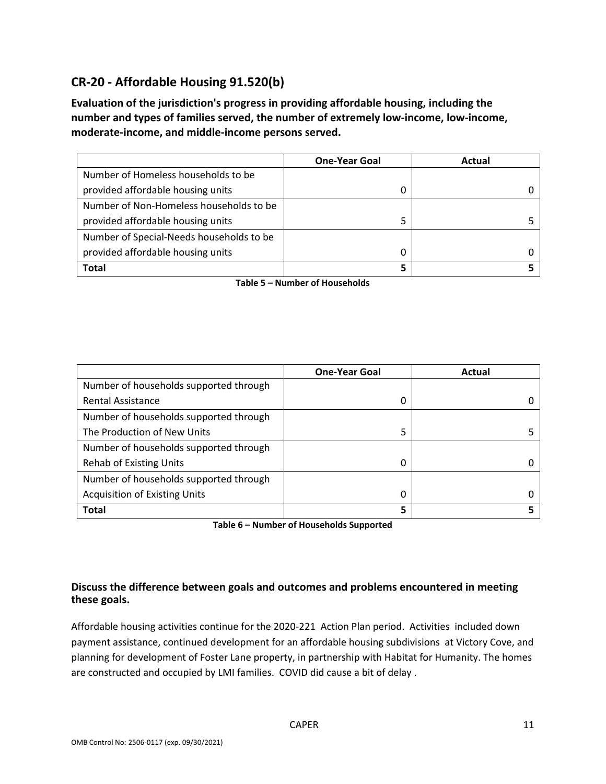# **CR‐20 ‐ Affordable Housing 91.520(b)**

**Evaluation of the jurisdiction's progress in providing affordable housing, including the number and types of families served, the number of extremely low‐income, low‐income, moderate‐income, and middle‐income persons served.**

|                                          | <b>One-Year Goal</b> | Actual |
|------------------------------------------|----------------------|--------|
| Number of Homeless households to be      |                      |        |
| provided affordable housing units        | 0                    |        |
| Number of Non-Homeless households to be  |                      |        |
| provided affordable housing units        |                      |        |
| Number of Special-Needs households to be |                      |        |
| provided affordable housing units        | 0                    |        |
| <b>Total</b>                             |                      |        |

**Table 5 – Number of Households**

|                                        | <b>One-Year Goal</b> | Actual |
|----------------------------------------|----------------------|--------|
| Number of households supported through |                      |        |
| <b>Rental Assistance</b>               | 0                    |        |
| Number of households supported through |                      |        |
| The Production of New Units            | 5                    |        |
| Number of households supported through |                      |        |
| <b>Rehab of Existing Units</b>         | 0                    |        |
| Number of households supported through |                      |        |
| <b>Acquisition of Existing Units</b>   | 0                    |        |
| <b>Total</b>                           | 5                    |        |

**Table 6 – Number of Households Supported**

### **Discuss the difference between goals and outcomes and problems encountered in meeting these goals.**

Affordable housing activities continue for the 2020‐221 Action Plan period. Activities included down payment assistance, continued development for an affordable housing subdivisions at Victory Cove, and planning for development of Foster Lane property, in partnership with Habitat for Humanity. The homes are constructed and occupied by LMI families. COVID did cause a bit of delay .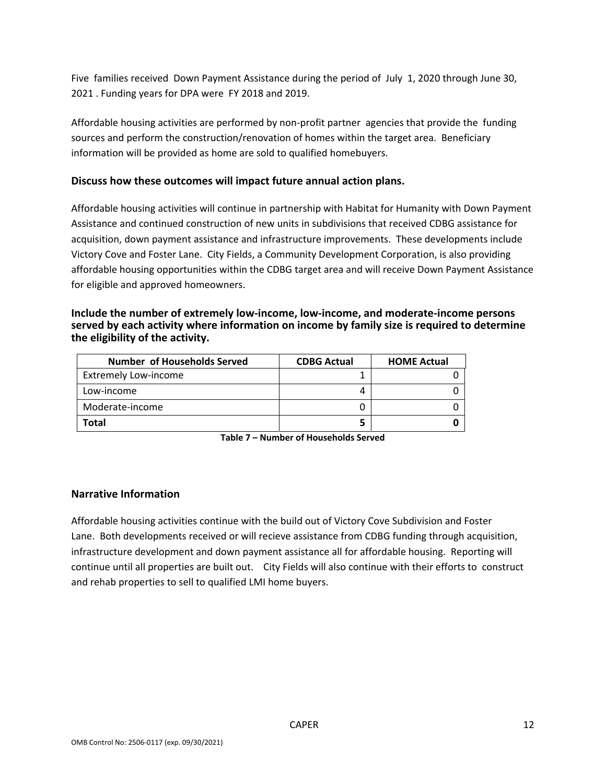Five families received Down Payment Assistance during the period of July 1, 2020 through June 30, 2021 . Funding years for DPA were FY 2018 and 2019.

Affordable housing activities are performed by non‐profit partner agencies that provide the funding sources and perform the construction/renovation of homes within the target area. Beneficiary information will be provided as home are sold to qualified homebuyers.

#### **Discuss how these outcomes will impact future annual action plans.**

Affordable housing activities will continue in partnership with Habitat for Humanity with Down Payment Assistance and continued construction of new units in subdivisions that received CDBG assistance for acquisition, down payment assistance and infrastructure improvements. These developments include Victory Cove and Foster Lane. City Fields, a Community Development Corporation, is also providing affordable housing opportunities within the CDBG target area and will receive Down Payment Assistance for eligible and approved homeowners.

#### **Include the number of extremely low‐income, low‐income, and moderate‐income persons served by each activity where information on income by family size is required to determine the eligibility of the activity.**

| <b>Number of Households Served</b> | <b>CDBG Actual</b> | <b>HOME Actual</b> |
|------------------------------------|--------------------|--------------------|
| <b>Extremely Low-income</b>        |                    |                    |
| Low-income                         |                    |                    |
| Moderate-income                    |                    |                    |
| Total                              |                    |                    |

**Table 7 – Number of Households Served**

#### **Narrative Information**

Affordable housing activities continue with the build out of Victory Cove Subdivision and Foster Lane. Both developments received or will recieve assistance from CDBG funding through acquisition, infrastructure development and down payment assistance all for affordable housing. Reporting will continue until all properties are built out. City Fields will also continue with their efforts to construct and rehab properties to sell to qualified LMI home buyers.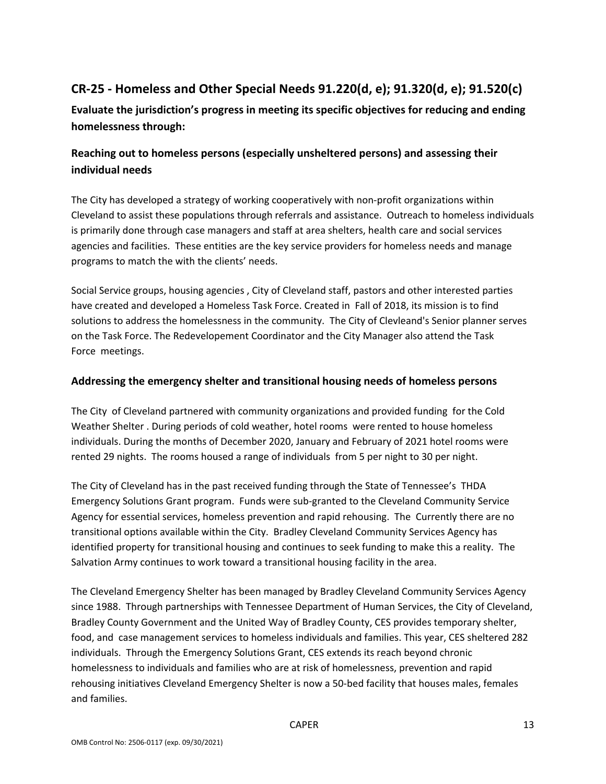# **CR‐25 ‐ Homeless and Other Special Needs 91.220(d, e); 91.320(d, e); 91.520(c)**

**Evaluate the jurisdiction's progress in meeting its specific objectives for reducing and ending homelessness through:**

## **Reaching out to homeless persons (especially unsheltered persons) and assessing their individual needs**

The City has developed a strategy of working cooperatively with non-profit organizations within Cleveland to assist these populations through referrals and assistance. Outreach to homeless individuals is primarily done through case managers and staff at area shelters, health care and social services agencies and facilities. These entities are the key service providers for homeless needs and manage programs to match the with the clients' needs.

Social Service groups, housing agencies , City of Cleveland staff, pastors and other interested parties have created and developed a Homeless Task Force. Created in Fall of 2018, its mission is to find solutions to address the homelessness in the community. The City of Clevleand's Senior planner serves on the Task Force. The Redevelopement Coordinator and the City Manager also attend the Task Force meetings.

### **Addressing the emergency shelter and transitional housing needs of homeless persons**

The City of Cleveland partnered with community organizations and provided funding for the Cold Weather Shelter . During periods of cold weather, hotel rooms were rented to house homeless individuals. During the months of December 2020, January and February of 2021 hotel rooms were rented 29 nights. The rooms housed a range of individuals from 5 per night to 30 per night.

The City of Cleveland has in the past received funding through the State of Tennessee's THDA Emergency Solutions Grant program. Funds were sub‐granted to the Cleveland Community Service Agency for essential services, homeless prevention and rapid rehousing. The Currently there are no transitional options available within the City. Bradley Cleveland Community Services Agency has identified property for transitional housing and continues to seek funding to make this a reality. The Salvation Army continues to work toward a transitional housing facility in the area.

The Cleveland Emergency Shelter has been managed by Bradley Cleveland Community Services Agency since 1988. Through partnerships with Tennessee Department of Human Services, the City of Cleveland, Bradley County Government and the United Way of Bradley County, CES provides temporary shelter, food, and case management services to homeless individuals and families. This year, CES sheltered 282 individuals. Through the Emergency Solutions Grant, CES extends its reach beyond chronic homelessness to individuals and families who are at risk of homelessness, prevention and rapid rehousing initiatives Cleveland Emergency Shelter is now a 50‐bed facility that houses males, females and families.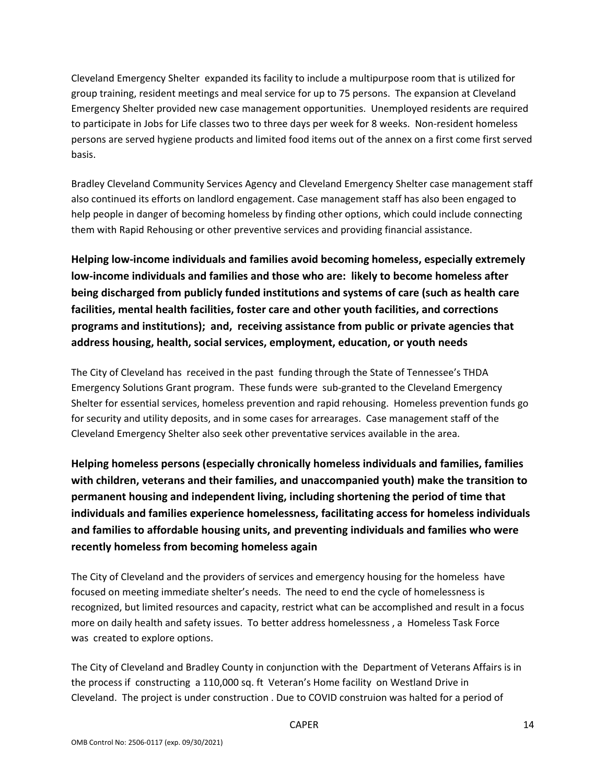Cleveland Emergency Shelter expanded its facility to include a multipurpose room that is utilized for group training, resident meetings and meal service for up to 75 persons. The expansion at Cleveland Emergency Shelter provided new case management opportunities. Unemployed residents are required to participate in Jobs for Life classes two to three days per week for 8 weeks. Non-resident homeless persons are served hygiene products and limited food items out of the annex on a first come first served basis.

Bradley Cleveland Community Services Agency and Cleveland Emergency Shelter case management staff also continued its efforts on landlord engagement. Case management staff has also been engaged to help people in danger of becoming homeless by finding other options, which could include connecting them with Rapid Rehousing or other preventive services and providing financial assistance.

**Helping low‐income individuals and families avoid becoming homeless, especially extremely low‐income individuals and families and those who are: likely to become homeless after being discharged from publicly funded institutions and systems of care (such as health care facilities, mental health facilities, foster care and other youth facilities, and corrections programs and institutions); and, receiving assistance from public or private agencies that address housing, health, social services, employment, education, or youth needs**

The City of Cleveland has received in the past funding through the State of Tennessee's THDA Emergency Solutions Grant program. These funds were sub‐granted to the Cleveland Emergency Shelter for essential services, homeless prevention and rapid rehousing. Homeless prevention funds go for security and utility deposits, and in some cases for arrearages. Case management staff of the Cleveland Emergency Shelter also seek other preventative services available in the area.

**Helping homeless persons (especially chronically homeless individuals and families, families with children, veterans and their families, and unaccompanied youth) make the transition to permanent housing and independent living, including shortening the period of time that individuals and families experience homelessness, facilitating access for homeless individuals and families to affordable housing units, and preventing individuals and families who were recently homeless from becoming homeless again**

The City of Cleveland and the providers of services and emergency housing for the homeless have focused on meeting immediate shelter's needs. The need to end the cycle of homelessness is recognized, but limited resources and capacity, restrict what can be accomplished and result in a focus more on daily health and safety issues. To better address homelessness , a Homeless Task Force was created to explore options.

The City of Cleveland and Bradley County in conjunction with the Department of Veterans Affairs is in the process if constructing a 110,000 sq. ft Veteran's Home facility on Westland Drive in Cleveland. The project is under construction . Due to COVID construion was halted for a period of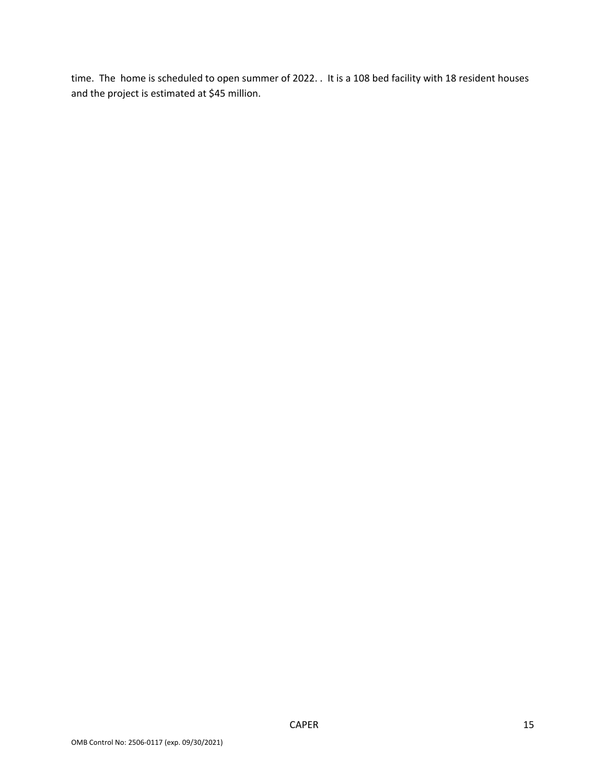time. The home is scheduled to open summer of 2022. . It is a 108 bed facility with 18 resident houses and the project is estimated at \$45 million.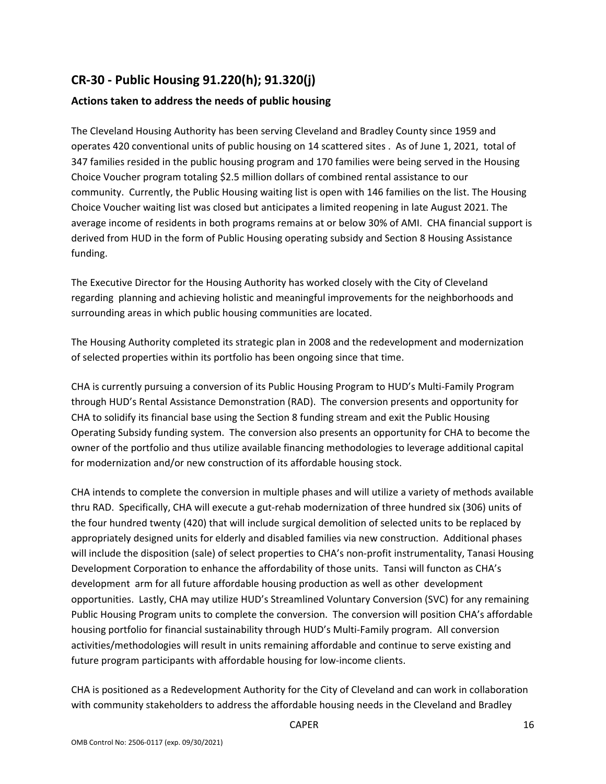# **CR‐30 ‐ Public Housing 91.220(h); 91.320(j)**

### **Actions taken to address the needs of public housing**

The Cleveland Housing Authority has been serving Cleveland and Bradley County since 1959 and operates 420 conventional units of public housing on 14 scattered sites . As of June 1, 2021, total of 347 families resided in the public housing program and 170 families were being served in the Housing Choice Voucher program totaling \$2.5 million dollars of combined rental assistance to our community. Currently, the Public Housing waiting list is open with 146 families on the list. The Housing Choice Voucher waiting list was closed but anticipates a limited reopening in late August 2021. The average income of residents in both programs remains at or below 30% of AMI. CHA financial support is derived from HUD in the form of Public Housing operating subsidy and Section 8 Housing Assistance funding.

The Executive Director for the Housing Authority has worked closely with the City of Cleveland regarding planning and achieving holistic and meaningful improvements for the neighborhoods and surrounding areas in which public housing communities are located.

The Housing Authority completed its strategic plan in 2008 and the redevelopment and modernization of selected properties within its portfolio has been ongoing since that time.

CHA is currently pursuing a conversion of its Public Housing Program to HUD's Multi‐Family Program through HUD's Rental Assistance Demonstration (RAD). The conversion presents and opportunity for CHA to solidify its financial base using the Section 8 funding stream and exit the Public Housing Operating Subsidy funding system. The conversion also presents an opportunity for CHA to become the owner of the portfolio and thus utilize available financing methodologies to leverage additional capital for modernization and/or new construction of its affordable housing stock.

CHA intends to complete the conversion in multiple phases and will utilize a variety of methods available thru RAD. Specifically, CHA will execute a gut‐rehab modernization of three hundred six (306) units of the four hundred twenty (420) that will include surgical demolition of selected units to be replaced by appropriately designed units for elderly and disabled families via new construction. Additional phases will include the disposition (sale) of select properties to CHA's non-profit instrumentality, Tanasi Housing Development Corporation to enhance the affordability of those units. Tansi will functon as CHA's development arm for all future affordable housing production as well as other development opportunities. Lastly, CHA may utilize HUD's Streamlined Voluntary Conversion (SVC) for any remaining Public Housing Program units to complete the conversion. The conversion will position CHA's affordable housing portfolio for financial sustainability through HUD's Multi‐Family program. All conversion activities/methodologies will result in units remaining affordable and continue to serve existing and future program participants with affordable housing for low-income clients.

CHA is positioned as a Redevelopment Authority for the City of Cleveland and can work in collaboration with community stakeholders to address the affordable housing needs in the Cleveland and Bradley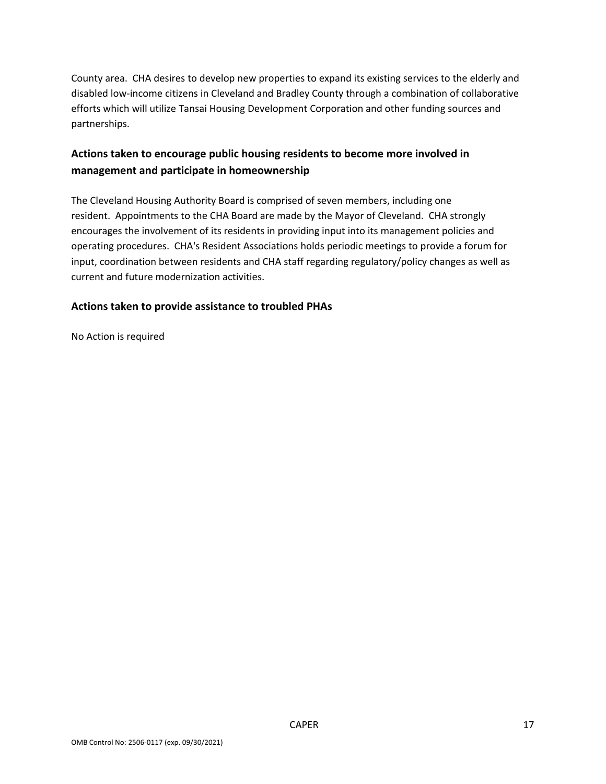County area. CHA desires to develop new properties to expand its existing services to the elderly and disabled low‐income citizens in Cleveland and Bradley County through a combination of collaborative efforts which will utilize Tansai Housing Development Corporation and other funding sources and partnerships.

## **Actions taken to encourage public housing residents to become more involved in management and participate in homeownership**

The Cleveland Housing Authority Board is comprised of seven members, including one resident. Appointments to the CHA Board are made by the Mayor of Cleveland. CHA strongly encourages the involvement of its residents in providing input into its management policies and operating procedures. CHA's Resident Associations holds periodic meetings to provide a forum for input, coordination between residents and CHA staff regarding regulatory/policy changes as well as current and future modernization activities.

### **Actions taken to provide assistance to troubled PHAs**

No Action is required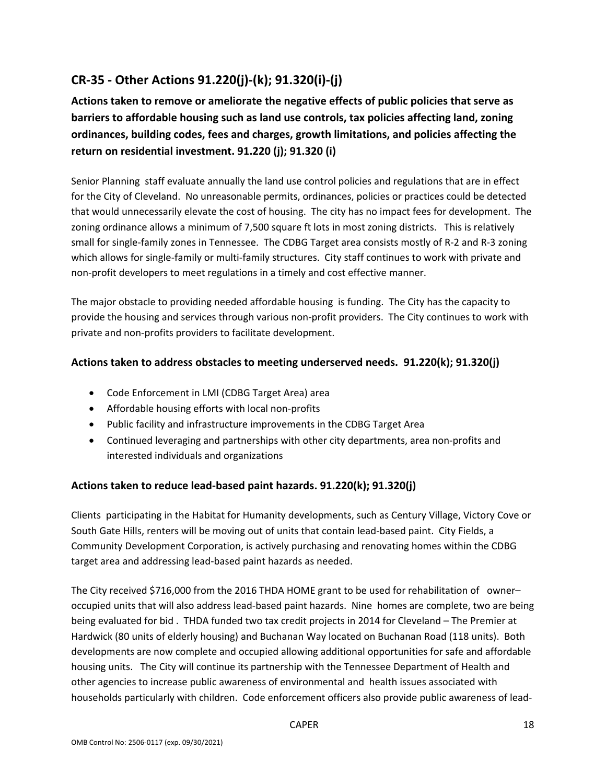# **CR‐35 ‐ Other Actions 91.220(j)‐(k); 91.320(i)‐(j)**

**Actions taken to remove or ameliorate the negative effects of public policies that serve as barriers to affordable housing such as land use controls, tax policies affecting land, zoning ordinances, building codes, fees and charges, growth limitations, and policies affecting the return on residential investment. 91.220 (j); 91.320 (i)**

Senior Planning staff evaluate annually the land use control policies and regulations that are in effect for the City of Cleveland. No unreasonable permits, ordinances, policies or practices could be detected that would unnecessarily elevate the cost of housing. The city has no impact fees for development. The zoning ordinance allows a minimum of 7,500 square ft lots in most zoning districts. This is relatively small for single-family zones in Tennessee. The CDBG Target area consists mostly of R-2 and R-3 zoning which allows for single-family or multi-family structures. City staff continues to work with private and non‐profit developers to meet regulations in a timely and cost effective manner.

The major obstacle to providing needed affordable housing is funding. The City has the capacity to provide the housing and services through various non‐profit providers. The City continues to work with private and non‐profits providers to facilitate development.

### **Actions taken to address obstacles to meeting underserved needs. 91.220(k); 91.320(j)**

- Code Enforcement in LMI (CDBG Target Area) area
- Affordable housing efforts with local non-profits
- Public facility and infrastructure improvements in the CDBG Target Area
- Continued leveraging and partnerships with other city departments, area non-profits and interested individuals and organizations

### **Actions taken to reduce lead‐based paint hazards. 91.220(k); 91.320(j)**

Clients participating in the Habitat for Humanity developments, such as Century Village, Victory Cove or South Gate Hills, renters will be moving out of units that contain lead‐based paint. City Fields, a Community Development Corporation, is actively purchasing and renovating homes within the CDBG target area and addressing lead‐based paint hazards as needed.

The City received \$716,000 from the 2016 THDA HOME grant to be used for rehabilitation of owner– occupied units that will also address lead‐based paint hazards. Nine homes are complete, two are being being evaluated for bid . THDA funded two tax credit projects in 2014 for Cleveland – The Premier at Hardwick (80 units of elderly housing) and Buchanan Way located on Buchanan Road (118 units). Both developments are now complete and occupied allowing additional opportunities for safe and affordable housing units. The City will continue its partnership with the Tennessee Department of Health and other agencies to increase public awareness of environmental and health issues associated with households particularly with children. Code enforcement officers also provide public awareness of lead‐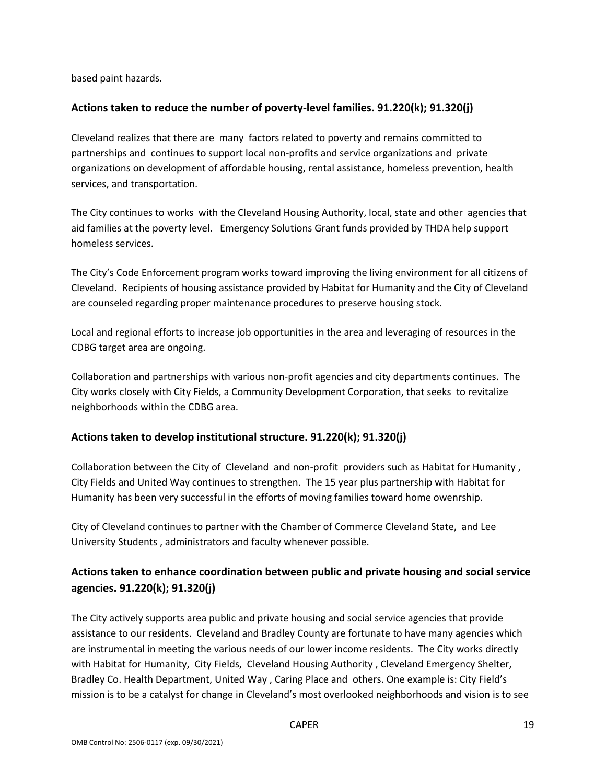based paint hazards.

#### **Actions taken to reduce the number of poverty‐level families. 91.220(k); 91.320(j)**

Cleveland realizes that there are many factors related to poverty and remains committed to partnerships and continues to support local non‐profits and service organizations and private organizations on development of affordable housing, rental assistance, homeless prevention, health services, and transportation.

The City continues to works with the Cleveland Housing Authority, local, state and other agencies that aid families at the poverty level. Emergency Solutions Grant funds provided by THDA help support homeless services.

The City's Code Enforcement program works toward improving the living environment for all citizens of Cleveland. Recipients of housing assistance provided by Habitat for Humanity and the City of Cleveland are counseled regarding proper maintenance procedures to preserve housing stock.

Local and regional efforts to increase job opportunities in the area and leveraging of resources in the CDBG target area are ongoing.

Collaboration and partnerships with various non‐profit agencies and city departments continues. The City works closely with City Fields, a Community Development Corporation, that seeks to revitalize neighborhoods within the CDBG area.

### **Actions taken to develop institutional structure. 91.220(k); 91.320(j)**

Collaboration between the City of Cleveland and non-profit providers such as Habitat for Humanity, City Fields and United Way continues to strengthen. The 15 year plus partnership with Habitat for Humanity has been very successful in the efforts of moving families toward home owenrship.

City of Cleveland continues to partner with the Chamber of Commerce Cleveland State, and Lee University Students , administrators and faculty whenever possible.

## **Actions taken to enhance coordination between public and private housing and social service agencies. 91.220(k); 91.320(j)**

The City actively supports area public and private housing and social service agencies that provide assistance to our residents. Cleveland and Bradley County are fortunate to have many agencies which are instrumental in meeting the various needs of our lower income residents. The City works directly with Habitat for Humanity, City Fields, Cleveland Housing Authority, Cleveland Emergency Shelter, Bradley Co. Health Department, United Way , Caring Place and others. One example is: City Field's mission is to be a catalyst for change in Cleveland's most overlooked neighborhoods and vision is to see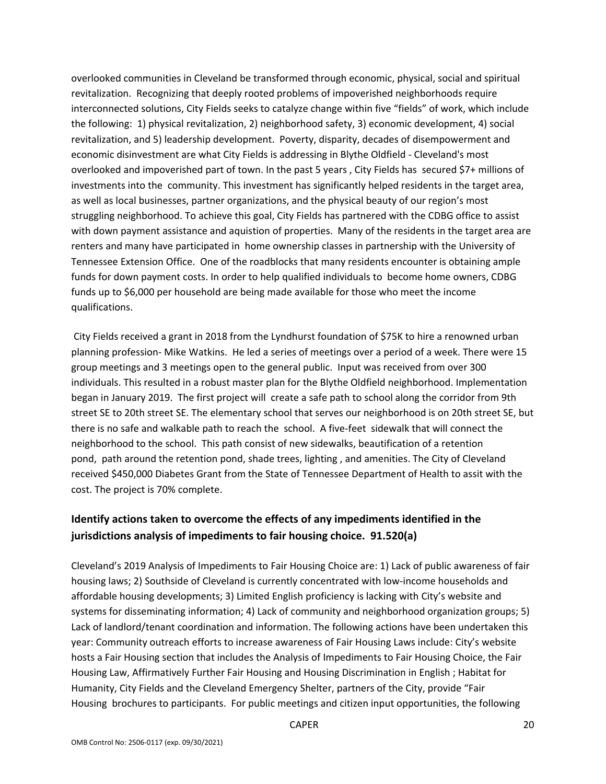overlooked communities in Cleveland be transformed through economic, physical, social and spiritual revitalization. Recognizing that deeply rooted problems of impoverished neighborhoods require interconnected solutions, City Fields seeks to catalyze change within five "fields" of work, which include the following: 1) physical revitalization, 2) neighborhood safety, 3) economic development, 4) social revitalization, and 5) leadership development. Poverty, disparity, decades of disempowerment and economic disinvestment are what City Fields is addressing in Blythe Oldfield ‐ Cleveland's most overlooked and impoverished part of town. In the past 5 years , City Fields has secured \$7+ millions of investments into the community. This investment has significantly helped residents in the target area, as well as local businesses, partner organizations, and the physical beauty of our region's most struggling neighborhood. To achieve this goal, City Fields has partnered with the CDBG office to assist with down payment assistance and aquistion of properties. Many of the residents in the target area are renters and many have participated in home ownership classes in partnership with the University of Tennessee Extension Office. One of the roadblocks that many residents encounter is obtaining ample funds for down payment costs. In order to help qualified individuals to become home owners, CDBG funds up to \$6,000 per household are being made available for those who meet the income qualifications.

City Fields received a grant in 2018 from the Lyndhurst foundation of \$75K to hire a renowned urban planning profession‐ Mike Watkins. He led a series of meetings over a period of a week. There were 15 group meetings and 3 meetings open to the general public. Input was received from over 300 individuals. This resulted in a robust master plan for the Blythe Oldfield neighborhood. Implementation began in January 2019. The first project will create a safe path to school along the corridor from 9th street SE to 20th street SE. The elementary school that serves our neighborhood is on 20th street SE, but there is no safe and walkable path to reach the school. A five‐feet sidewalk that will connect the neighborhood to the school. This path consist of new sidewalks, beautification of a retention pond, path around the retention pond, shade trees, lighting , and amenities. The City of Cleveland received \$450,000 Diabetes Grant from the State of Tennessee Department of Health to assit with the cost. The project is 70% complete.

# **Identify actions taken to overcome the effects of any impediments identified in the jurisdictions analysis of impediments to fair housing choice. 91.520(a)**

Cleveland's 2019 Analysis of Impediments to Fair Housing Choice are: 1) Lack of public awareness of fair housing laws; 2) Southside of Cleveland is currently concentrated with low-income households and affordable housing developments; 3) Limited English proficiency is lacking with City's website and systems for disseminating information; 4) Lack of community and neighborhood organization groups; 5) Lack of landlord/tenant coordination and information. The following actions have been undertaken this year: Community outreach efforts to increase awareness of Fair Housing Laws include: City's website hosts a Fair Housing section that includes the Analysis of Impediments to Fair Housing Choice, the Fair Housing Law, Affirmatively Further Fair Housing and Housing Discrimination in English ; Habitat for Humanity, City Fields and the Cleveland Emergency Shelter, partners of the City, provide "Fair Housing brochures to participants. For public meetings and citizen input opportunities, the following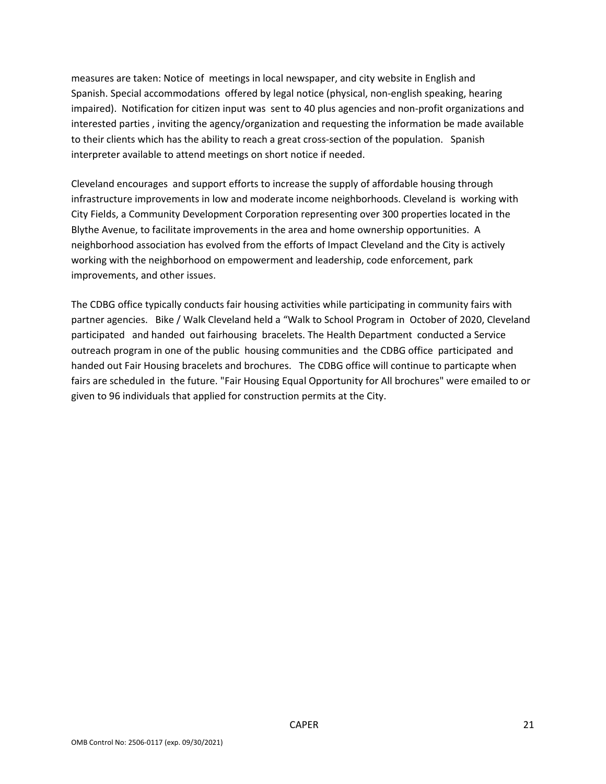measures are taken: Notice of meetings in local newspaper, and city website in English and Spanish. Special accommodations offered by legal notice (physical, non‐english speaking, hearing impaired). Notification for citizen input was sent to 40 plus agencies and non-profit organizations and interested parties , inviting the agency/organization and requesting the information be made available to their clients which has the ability to reach a great cross-section of the population. Spanish interpreter available to attend meetings on short notice if needed.

Cleveland encourages and support efforts to increase the supply of affordable housing through infrastructure improvements in low and moderate income neighborhoods. Cleveland is working with City Fields, a Community Development Corporation representing over 300 properties located in the Blythe Avenue, to facilitate improvements in the area and home ownership opportunities. A neighborhood association has evolved from the efforts of Impact Cleveland and the City is actively working with the neighborhood on empowerment and leadership, code enforcement, park improvements, and other issues.

The CDBG office typically conducts fair housing activities while participating in community fairs with partner agencies. Bike / Walk Cleveland held a "Walk to School Program in October of 2020, Cleveland participated and handed out fairhousing bracelets. The Health Department conducted a Service outreach program in one of the public housing communities and the CDBG office participated and handed out Fair Housing bracelets and brochures. The CDBG office will continue to particapte when fairs are scheduled in the future. "Fair Housing Equal Opportunity for All brochures" were emailed to or given to 96 individuals that applied for construction permits at the City.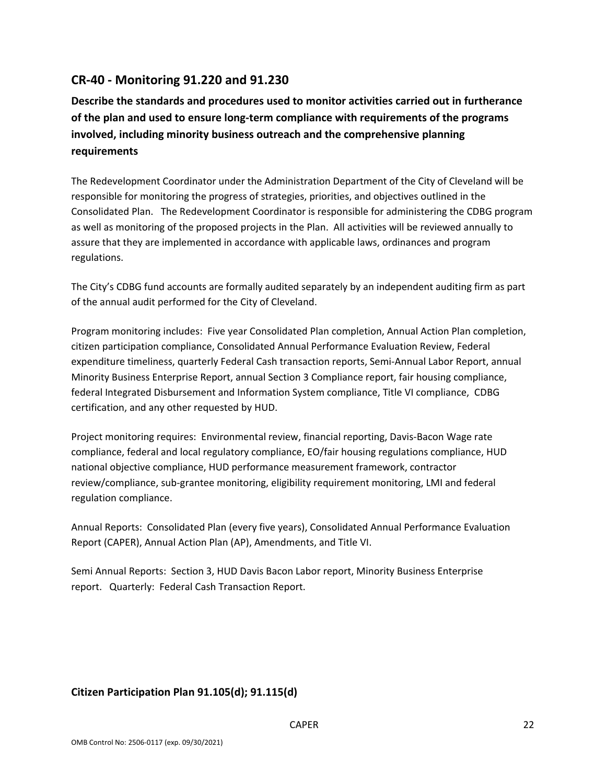## **CR‐40 ‐ Monitoring 91.220 and 91.230**

**Describe the standards and procedures used to monitor activities carried out in furtherance of the plan and used to ensure long‐term compliance with requirements of the programs involved, including minority business outreach and the comprehensive planning requirements**

The Redevelopment Coordinator under the Administration Department of the City of Cleveland will be responsible for monitoring the progress of strategies, priorities, and objectives outlined in the Consolidated Plan. The Redevelopment Coordinator is responsible for administering the CDBG program as well as monitoring of the proposed projects in the Plan. All activities will be reviewed annually to assure that they are implemented in accordance with applicable laws, ordinances and program regulations.

The City's CDBG fund accounts are formally audited separately by an independent auditing firm as part of the annual audit performed for the City of Cleveland.

Program monitoring includes: Five year Consolidated Plan completion, Annual Action Plan completion, citizen participation compliance, Consolidated Annual Performance Evaluation Review, Federal expenditure timeliness, quarterly Federal Cash transaction reports, Semi‐Annual Labor Report, annual Minority Business Enterprise Report, annual Section 3 Compliance report, fair housing compliance, federal Integrated Disbursement and Information System compliance, Title VI compliance, CDBG certification, and any other requested by HUD.

Project monitoring requires: Environmental review, financial reporting, Davis‐Bacon Wage rate compliance, federal and local regulatory compliance, EO/fair housing regulations compliance, HUD national objective compliance, HUD performance measurement framework, contractor review/compliance, sub‐grantee monitoring, eligibility requirement monitoring, LMI and federal regulation compliance.

Annual Reports: Consolidated Plan (every five years), Consolidated Annual Performance Evaluation Report (CAPER), Annual Action Plan (AP), Amendments, and Title VI.

Semi Annual Reports: Section 3, HUD Davis Bacon Labor report, Minority Business Enterprise report. Quarterly: Federal Cash Transaction Report.

### **Citizen Participation Plan 91.105(d); 91.115(d)**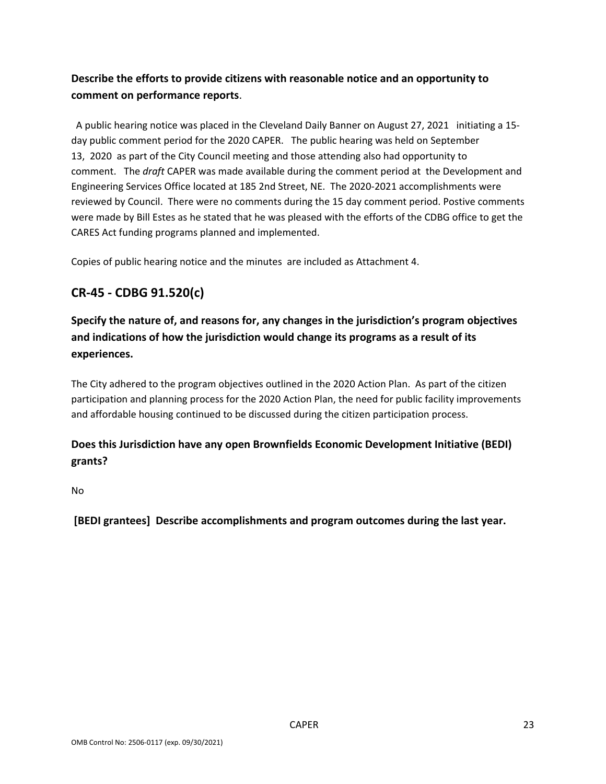## **Describe the efforts to provide citizens with reasonable notice and an opportunity to comment on performance reports**.

 A public hearing notice was placed in the Cleveland Daily Banner on August 27, 2021 initiating a 15‐ day public comment period for the 2020 CAPER. The public hearing was held on September 13, 2020 as part of the City Council meeting and those attending also had opportunity to comment. The *draft* CAPER was made available during the comment period at the Development and Engineering Services Office located at 185 2nd Street, NE. The 2020‐2021 accomplishments were reviewed by Council. There were no comments during the 15 day comment period. Postive comments were made by Bill Estes as he stated that he was pleased with the efforts of the CDBG office to get the CARES Act funding programs planned and implemented.

Copies of public hearing notice and the minutes are included as Attachment 4.

# **CR‐45 ‐ CDBG 91.520(c)**

**Specify the nature of, and reasons for, any changes in the jurisdiction's program objectives and indications of how the jurisdiction would change its programs as a result of its experiences.**

The City adhered to the program objectives outlined in the 2020 Action Plan. As part of the citizen participation and planning process for the 2020 Action Plan, the need for public facility improvements and affordable housing continued to be discussed during the citizen participation process.

## **Does this Jurisdiction have any open Brownfields Economic Development Initiative (BEDI) grants?**

No

**[BEDI grantees] Describe accomplishments and program outcomes during the last year.**